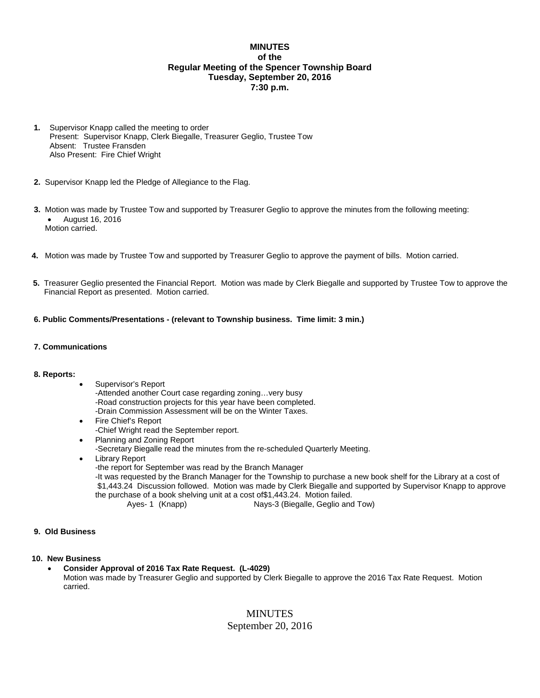## **MINUTES of the Regular Meeting of the Spencer Township Board Tuesday, September 20, 2016 7:30 p.m.**

- **1.** Supervisor Knapp called the meeting to order Present: Supervisor Knapp, Clerk Biegalle, Treasurer Geglio, Trustee Tow Absent: Trustee Fransden Also Present: Fire Chief Wright
- **2.** Supervisor Knapp led the Pledge of Allegiance to the Flag.
- **3.** Motion was made by Trustee Tow and supported by Treasurer Geglio to approve the minutes from the following meeting: August 16, 2016 Motion carried.
- **4.** Motion was made by Trustee Tow and supported by Treasurer Geglio to approve the payment of bills. Motion carried.
- **5.** Treasurer Geglio presented the Financial Report. Motion was made by Clerk Biegalle and supported by Trustee Tow to approve the Financial Report as presented. Motion carried.
- **6. Public Comments/Presentations (relevant to Township business. Time limit: 3 min.)**
- **7. Communications**

#### **8. Reports:**

- Supervisor's Report -Attended another Court case regarding zoning…very busy -Road construction projects for this year have been completed. -Drain Commission Assessment will be on the Winter Taxes.
- Fire Chief's Report -Chief Wright read the September report.
- Planning and Zoning Report
- -Secretary Biegalle read the minutes from the re-scheduled Quarterly Meeting.
- Library Report
	- -the report for September was read by the Branch Manager

-It was requested by the Branch Manager for the Township to purchase a new book shelf for the Library at a cost of \$1,443.24 Discussion followed. Motion was made by Clerk Biegalle and supported by Supervisor Knapp to approve the purchase of a book shelving unit at a cost of\$1,443.24. Motion failed.

- Ayes- 1 (Knapp) Nays-3 (Biegalle, Geglio and Tow)
- **9. Old Business**

#### **10. New Business**

**Consider Approval of 2016 Tax Rate Request. (L-4029)** 

Motion was made by Treasurer Geglio and supported by Clerk Biegalle to approve the 2016 Tax Rate Request. Motion carried.

# MINUTES

September 20, 2016